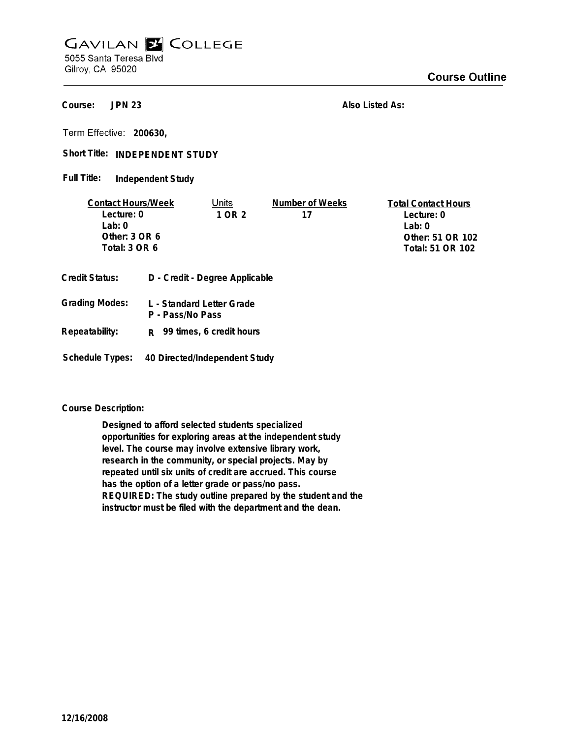## **GAVILAN E COLLEGE** 5055 Santa Teresa Blvd

Gilroy, CA 95020

**JPN 23 Course:**

**Also Listed As:**

**200630,**

Short Title: INDEPENDENT STUDY

**Independent Study Full Title:**

| <b>Contact Hours/Week</b> |                                | Units                   | Number of Weeks  | <b>Total Contact Hours</b> |
|---------------------------|--------------------------------|-------------------------|------------------|----------------------------|
| Lecture: 0                |                                | 1 OR 2                  | 17               | Lecture: 0                 |
| $1$ ab: $0$               |                                |                         |                  | Lab: 0                     |
| Other: 3 OR 6             |                                |                         |                  | Other: 51 OR 102           |
| Total: 3 OR 6             |                                |                         | Total: 51 OR 102 |                            |
| Credit Status:            | D - Credit - Degree Applicable |                         |                  |                            |
| Grading Modes:            |                                | - Standard Letter Grade |                  |                            |

**L - Standard Letter Grade P - Pass/No Pass Repeatability: Grading R 99 times, 6 credit hours**

**Schedule Types: 40 Directed/Independent Study**

**Course Description:**

**Designed to afford selected students specialized opportunities for exploring areas at the independent study level. The course may involve extensive library work, research in the community, or special projects. May by repeated until six units of credit are accrued. This course has the option of a letter grade or pass/no pass. REQUIRED: The study outline prepared by the student and the instructor must be filed with the department and the dean.**